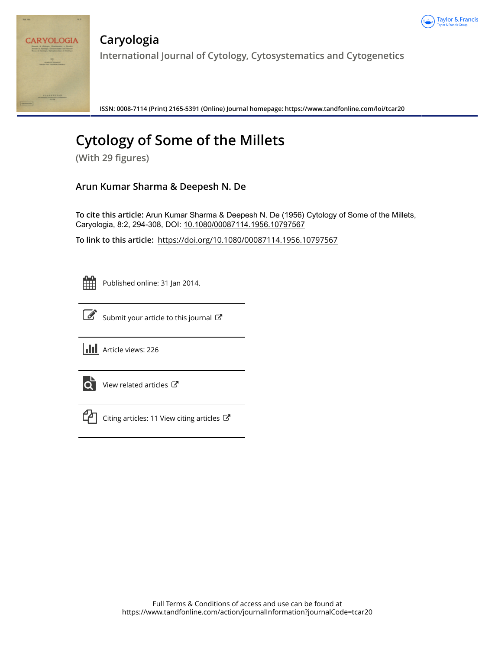



**Caryologia International Journal of Cytology, Cytosystematics and Cytogenetics**

**ISSN: 0008-7114 (Print) 2165-5391 (Online) Journal homepage:<https://www.tandfonline.com/loi/tcar20>**

# **Cytology of Some of the Millets**

**(With 29 figures)**

# **Arun Kumar Sharma & Deepesh N. De**

**To cite this article:** Arun Kumar Sharma & Deepesh N. De (1956) Cytology of Some of the Millets, Caryologia, 8:2, 294-308, DOI: [10.1080/00087114.1956.10797567](https://www.tandfonline.com/action/showCitFormats?doi=10.1080/00087114.1956.10797567)

**To link to this article:** <https://doi.org/10.1080/00087114.1956.10797567>



Published online: 31 Jan 2014.



 $\overrightarrow{S}$  [Submit your article to this journal](https://www.tandfonline.com/action/authorSubmission?journalCode=tcar20&show=instructions)  $\overrightarrow{S}$ 

**III** Article views: 226



[View related articles](https://www.tandfonline.com/doi/mlt/10.1080/00087114.1956.10797567) C



[Citing articles: 11 View citing articles](https://www.tandfonline.com/doi/citedby/10.1080/00087114.1956.10797567#tabModule)  $\mathbb{Z}$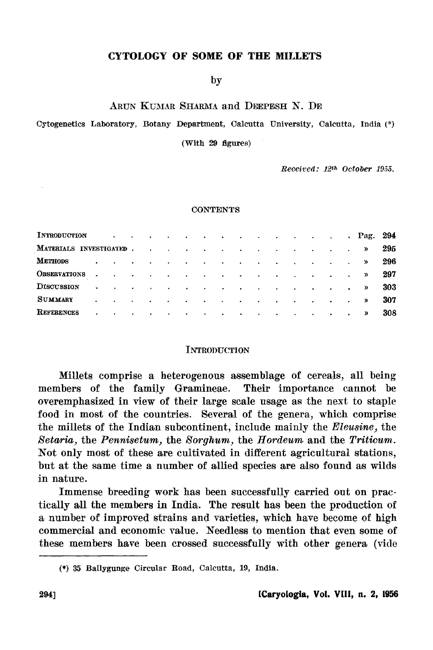## **CYTOLOGY OF SOME OF THE MILLETS**

#### by

# ARUN KUMAR SHARMA and DEEPESH N. DE

Cytogenetics Laboratory, Botany Department, Calcutta University, Calcutta, India (\*)

(With 29 figures)

*Receit:ed: 12th October 1955.* 

#### **CONTENTS**

|           | ٠                                          | $\bullet$ | $\bullet$               | $\ddot{\phantom{1}}$ | $\bullet$      |           |                                               | $\bullet$ |                            |           |                |           |                             | $\bullet$                                     | Pag.                    | 294 |
|-----------|--------------------------------------------|-----------|-------------------------|----------------------|----------------|-----------|-----------------------------------------------|-----------|----------------------------|-----------|----------------|-----------|-----------------------------|-----------------------------------------------|-------------------------|-----|
|           |                                            |           | $\bullet$               | $\cdot$              | $\bullet$      |           | ٠                                             | $\bullet$ | $\bullet$                  | $\bullet$ | $\bullet$      |           | $\sim$                      | $\bullet$                                     | y)                      | 295 |
| ٠         | ٠                                          | $\bullet$ | $\bullet$               | $\bullet$            | $\bullet$      | $\bullet$ | $\bullet$                                     |           | $\bullet$                  | $\sim$    | $\bullet$      | $\bullet$ |                             | $\bullet$                                     | »                       | 296 |
| $\bullet$ |                                            | $\bullet$ | $\cdot$                 | $\bullet$            | $\blacksquare$ | $\sim$    | $\bullet$                                     | ٠         | $\bullet$                  | $\bullet$ | $\blacksquare$ | $\bullet$ |                             | $\sim$                                        | $\mathbf{v}$            | 297 |
| ъ.        | ٠                                          | $\bullet$ | $\bullet$               | $\bullet$            |                |           | $\bullet$                                     | $\bullet$ | $\bullet$                  | $\bullet$ | $\bullet$      | $\bullet$ | $\ddot{\phantom{1}}$        | $\bullet$                                     | $\mathcal{D}$           | 303 |
| $\bullet$ | ٠                                          | $\bullet$ | $\bullet$               | $\cdot$              | ٠              | $\bullet$ | $\sim$ $\sim$                                 | ٠.        | $\rightarrow$              | $\cdot$   | $\bullet$      | $\bullet$ |                             | $\bullet$                                     | D.                      | 307 |
| $\bullet$ | $\bullet$                                  | $\bullet$ | $\bullet$               | $\bullet$            | ٠              |           | $\sim$                                        |           | $\sim$                     | $\bullet$ | $\bullet$      | ٠         |                             | $\bullet$                                     | ≫                       | 308 |
|           | <b>INTRODUCTION</b><br><b>OBSERVATIONS</b> |           | MATERIALS INVESTIGATED. |                      |                | $\sim$    | $\sim$<br><b>Contract</b><br>$\sim$<br>$\sim$ | $\sim$    | $\sim$ 100 $\mu$<br>$\sim$ | $\sim$    |                |           | $\sim$ $\sim$ $\sim$ $\sim$ | <b>Contract</b><br>$\sim$<br>$\sim$<br>$\sim$ | $\sim 100$ km s $^{-1}$ |     |

#### INTRODUCTION

Millets comprise a heterogenous assemblage of cereals, all being members of the family Gramineae. Their importance cannot be overemphasized in view of their large scale usage as the next to staple food in most of the countries. Several of the genera, which comprise the millets of the Indian subcontinent, include mainly the *Eleusine*, the *Setaria)* the *Pennisetum)* the *Sorghum\_.* the *Hordeum* and the *Triticum.*  Not only most of these are cultivated in different agricultural stations, but at the same time a number of allied species are also found as wilds in nature.

Immense breeding work has been successfully carried out on practically all the members in India. The result has been the production of a number of improved strains and varieties, which have become of high commercial and economic value. Needless to mention that even some of these members have been crossed successfully with other genera (vide

<sup>(\*) 35</sup> Ballygunge Circular Road, Calcutta, 19, India.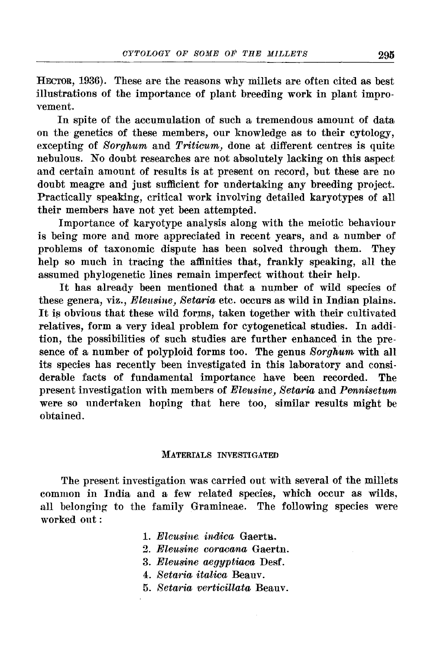HECTOR, 1936). These are the reasons why millets are often cited as best illustrations of the importance of plant breeding work in plant improvement.

In spite of the accumulation of such a tremendous amount of data on the genetics of these members, our knowledge as to their cytology, excepting of *Sorghum* and *Triticum}* done at different centres is quite nebulous. No doubt researches are not absolutely lacking on this aspect and certain amount of results is at present on record, but these are no doubt meagre and just sufficient for undertaking any breeding project. Practically speaking, critical work involving detailed karyotypes of all their members have not yet been attempted.

Importance of karyotype analysis along with the meiotic behaviour is being more and more appreciated in recent years, and a number of problems of taxonomic dispute has been solved through them. They help so much in tracing the affinities that, frankly speaking, all the assumed phylogenetic lines remain imperfect without their help.

It has already been mentioned that a number of wild species of these genera, viz., *Eleusine} Setaria* etc. occurs as wild in Indian plains. It is obvious that these wild forms, taken together with their cultivated relatives, form a very ideal problem for cytogenetical studies. In addition, the possibilities of such studies are further enhanced in the presence of a number of polyploid forms too. The genus *Sorghum* with all its species has recently been investigated in this laboratory and considerable facts of fundamental importance have been recorded. The present investigation with members of *Eleusine} Setaria* and *Pennisetum*  were so undertaken hoping that here too, similar results might be obtained.

#### MATERIALS INVESTIGATED

The present investigation was carried out with several of the millets common in India and a few related species, which occur as wilds, all belonging to the family Gramineae. The following species were worked out:

- 1. *Eleusine indica* Gaertu.
- 2. *Eleusine coracana* Gaertn.
- 3. *Eleusine aegyptiaca* Desf.
- 4. *Setaria italica* Beauv.
- 5. *i'Jetaria verticillata* Beauv.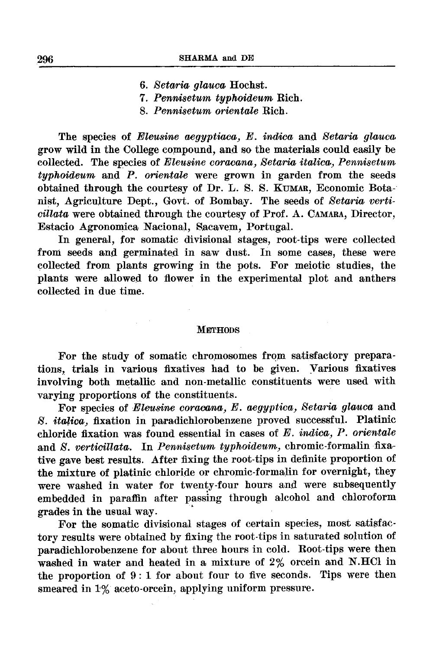6. *Setaria glauca* Hochst.

- 7. *Penwisetum typhoideum* Rich.
- 8. *Pennisetum orientale* Rich.

The species of *Eleusine* aegyptiaca~ *E. indica* and *Setaria glauca.*  grow wild in the College compound, and so the materials could easily be collected. The species of *Eleusine coracana*, *Setaria italica*, *Pennisetum typhoideum* and *P. orientale* were grown in garden from the seeds obtained through the courtesy of Dr. L. S. S. KUMAR, Economic Botanist, Agriculture Dept., Govt. of Bombay. The seeds of *Setaria verticillata* were obtained through the courtesy of Prof. A. CAMARA, Director, Estacio Agronomica Nacional, Sacavem, Portugal.

In general, for somatic divisional stages, root-tips were collected from seeds and germinated in saw dust. In some cases, these were collected from plants growing in the pots. For meiotic studies, the plants were allowed to flower in the experimental plot and anthers collected in due time.

#### **METHODS**

For the study of somatic chromosomes from satisfactory preparations, trials in various fixatives had to be given. Yarious fixatives involving both metallic and non-metallic constituents were used with varying proportions of the constituents.

For species of *Eleusine coracana*, *E. aegyptica*, *Setaria glauca* and *S. italica*, fixation in paradichlorobenzene proved successful. Platinic chloride fixation was found essential in cases of *E. indica) P. orientale*  and *S. verticillata*. In *Pennisetum typhoideum*, chromic-formalin fixative gave best results. After fixing the root-tips in definite proportion of the mixture of platinic chloride or chromic-formalin for overnight, they were washed in water for twenty-four hours and were subsequently embedded in paraffin after passing through alcohol and chloroform grades in the usual way. '

For the somatic divisional stages of certain species, most satisfactory results were obtained by fixing the root-tips in saturated solution of paradichlorobenzene for about three hours in cold. Root-tips were then washed in water and heated in a mixture of 2% orcein and N.HCl in the proportion of  $9:1$  for about four to five seconds. Tips were then smeared in 1% aceto-orcein, applying uniform pressure.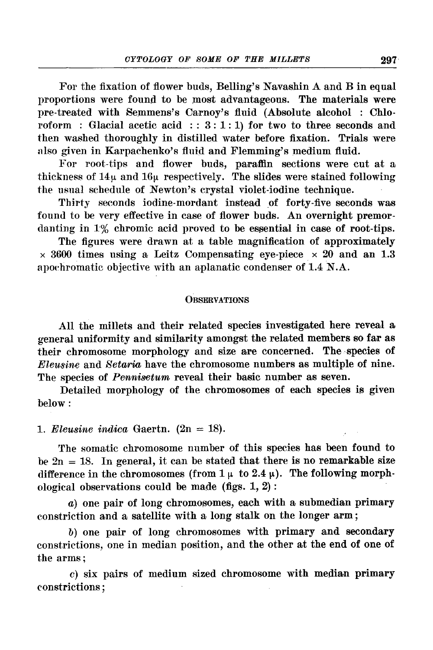For the fixation of flower buds, Belling's Navashin A and Bin equal proportions were found to be most advantageous. The materials were pre-treated with Semmens's Carnoy's fluid (Absolute alcohol : Chloroform : Glacial acetic acid  $:: 3: 1: 1$  for two to three seconds and then washed thoroughly in distilled water before fixation. Trials were also given in Karpachenko's fluid and Flemming's medium fluid.

For root-tips and flower buds, paraffin sections were cut at a thickness of  $14\mu$  and  $16\mu$  respectively. The slides were stained following the usual schedule of Newton's crystal violet-iodine technique.

Thirty seconds iodine-mordant instead \_of forty-five seconds was found to be very effective in case of flower buds. An overnight premordanting in 1% chromic acid proved to be essential in case of root-tips.

The figures were drawn at a table magnification of approximately  $\times$  3600 times using a Leitz Compensating eye-piece  $\times$  20 and an 1.3 apochromatic objective with an aplanatic condenser of 1.4 N.A.

#### **OBSERVATIONS**

All the millets and their related species investigated here reveal a. general uniformity and similarity amongst the related members so far as their chromosome morphology and size are concerned. The species of *Eleusine* and *Setaria* have the chromosome numbers as multiple of nine. The species of *Pennisetum* reveal their basic number as seven.

Detailed morphology of the chromosomes of each species is given below:

#### 1. *Eleusine indica* Gaertn. (2n = 18).

'l'he somatic chromosome number of this species has been found to be  $2n = 18$ . In general, it can be stated that there is no remarkable size difference in the chromosomes (from  $1 \mu$  to  $2.4 \mu$ ). The following morphological observations could be made (figs.  $1, 2$ ):

a) one pair of long chromosomes, each with a submedian primary constriction and a satellite with a long stalk on the longer arm ;

b) one pair of long chromosomes with primary and secondary constrictions, one in median position, and the other at the end of one of the arms;

c) six pairs of medium sized chromosome with median primary constrictions ;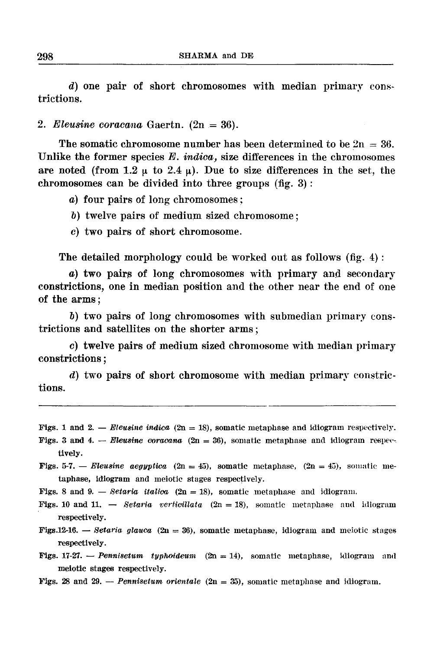d) one pair of short chromosomes with median primary constrictions.

#### 2. Eleusine coracana Gaertn.  $(2n = 36)$ .

The somatic chromosome number has been determined to be  $2n = 36$ . Unlike the former species  $E$ . indica, size differences in the chromosomes are noted (from 1.2  $\mu$  to 2.4  $\mu$ ). Due to size differences in the set, the chromosomes can be divided into three groups (fig. 3) :

- a) four pairs of long chromosomes;
- b) twelve pairs of medium sized chromosome;
- c) two pairs of short chromosome.

The detailed morphology could be worked out as follows (fig. 4) :

a) two pairs of long chromosomes with primary and secondary constrictions, one in median position and the other near the end of one of the arms;

b) two pairs of long chromosomes with submedian primary constrictions and satellites on the shorter arms;

 $c)$  twelve pairs of medium sized chromosome with median primary constrictions ;

d) two pairs of short chromosome with median primary constrictions.

Figs. 1 and 2. - Eleusine indica (2n = 18), somatic metaphase and idiogram respectively.

Figs. 3 and 4. - Eleusine coracana (2n = 36), somatic metaphase and idiogram respectively.

**Figs.** 5-7. - Eleusine aequptica  $(2n = 45)$ , somatic metaphase,  $(2n = 45)$ , somatic metaphase, idiogram and meiotic stages respectively.

Figs. 8 and 9. - Setaria *italica* (2n = 18), somatic metaphase and idiogram.

- Figs. 10 and 11. Setaria verticillata  $(2n = 18)$ , somatic metaphase and idiogram respectively.
- Figs.12-16. Setaria glauca (2n = 36), somatic metaphase, idiogram and meiotic stages respectively.
- Figs. 17-27. Pennisetum typhoideum  $(2n = 14)$ , somatic metaphase, idiogram and meiotic stages respectively.
- Figs. 28 and 29. Pennisetum orientale  $(2n = 35)$ , somatic metaphase and idiogram.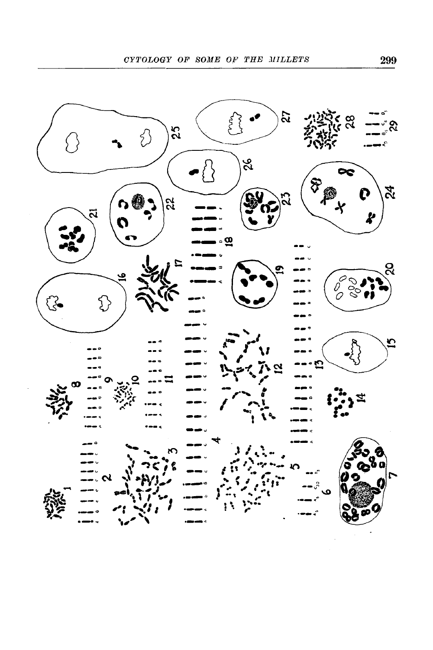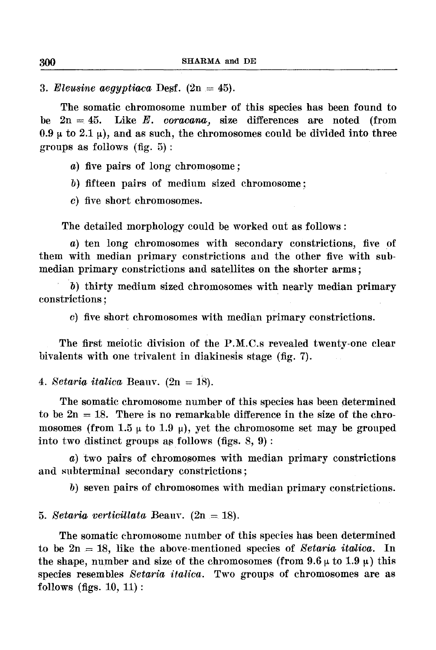3. *Eleusine aegyptiaca* Desf.  $(2n = 45)$ .

The somatic chromosome number of this species has been found to be  $2n = 45$ . Like *E. coracana*, size differences are noted (from 0.9  $\mu$  to 2.1  $\mu$ ), and as such, the chromosomes could be divided into three groups as follows (fig. 5) :

 $a)$  five pairs of long chromosome;

b) fifteen pairs of medium sized chromosome;

c) five short chromosomes.

The detailed morphology could be worked out as follows :

a) ten long chromosomes with secondary constrictions, five of them with median primary constrictions and the other five with submedian primary constrictions and satellites on the shorter arms ;

b) thirty medium sized chromosomes with nearly median primary constrictions ;

c) five short chromosomes with median primary constrictions.

The first meiotic division of the P.M.C.s revealed twenty-one clear bivalents with one trivalent in diakinesis stage (fig. 7).

4. *Setaria italica* Beauv.  $(2n = 18)$ .

The somatic chromosome number of this species has been determined to be  $2n = 18$ . There is no remarkable difference in the size of the chromosomes (from 1.5  $\mu$  to 1.9  $\mu$ ), yet the chromosome set may be grouped into two distinct groups as follows (figs.  $8, 9$ ):

 $a)$  two pairs of chromosomes with median primary constrictions and subterminal secondary constrictions;

b) seven pairs of chromosomes with median primary constrictions.

## 5. *Setaria verticillata* Beam·. (2n = 18).

The somatic chromosome nutnber of this species has been determined to be 2n = 18, like the above-mentioned species of *Setaria italica.* In the shape, number and size of the chromosomes (from  $9.6 \mu$  to  $1.9 \mu$ ) this species resembles *Setaria italica*. Two groups of chromosomes are as follows (figs.  $10, 11$ ):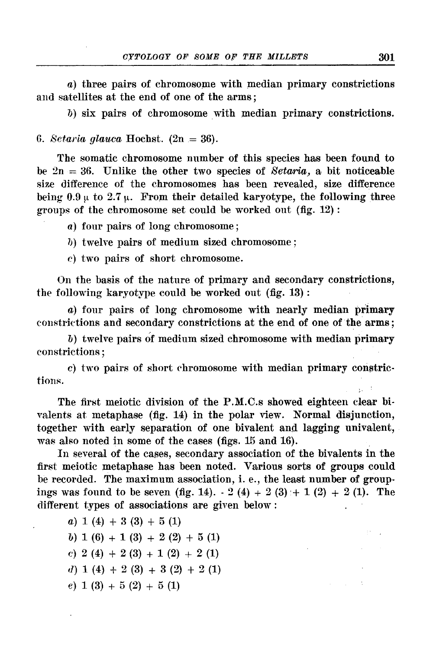$a)$  three pairs of chromosome with median primary constrictions and satellites at the end of one of the arms;

b) six pairs of chromosome with median primary constrictions.

#### G. *Setaria glauca* Hochst. (2n = 36).

The somatic chromosome number of this species has been found to be  $2n = 36$ . Unlike the other two species of *Setaria*, a bit noticeable size difference of the chromosomes has been revealed, size difference being 0.9  $\mu$  to 2.7  $\mu$ . From their detailed karyotype, the following three groups of the chromosome set could be worked out (fig.  $12$ ) :

- a) four pairs of long chromosome ;
- b) twelve pairs of medium sized chromosome;
- e) two pairs of short chromosome.

On the basis of the nature of primary and secondary constrictions, the following karyotype could be worked out (fig. 13) :

a) four pairs of long chromosome with nearly median primary eonstrietions and secondary constrictions at the end of one of the arms ;

b) twelve pairs of medium sized chromosome with median primary constrictions;

 $c)$  two pairs of short chromosome with median primary constrictions.  $\sim$ i.

The first meiotic division of the P.M.C.s showed eighteen dear bivalents at metaphase (fig. 14) in the polar view. Normal disjunction, together with early separation of one bivalent and lagging univalent, was also noted in some of the cases (figs. 15 and 16).

In several of the cases, secondary association of the bivalents in the first meiotic metaphase has been noted. Various sorts of groups could be recorded. The maximum association, i. e., the least number of groupings was found to be seven (fig. 14).  $-2(4) + 2(3) + 1(2) + 2(1)$ . The different types of associations are given below :

a) 1 (4) + 3 (3) + 5 (1)

b) 1 (6) + 1 (3) + 2 (2) + 5 (1)

c)  $2(4) + 2(3) + 1(2) + 2(1)$ 

- d) 1 (4) + 2 (3) + 3 (2) + 2 (1)
- e)  $1(3) + 5(2) + 5(1)$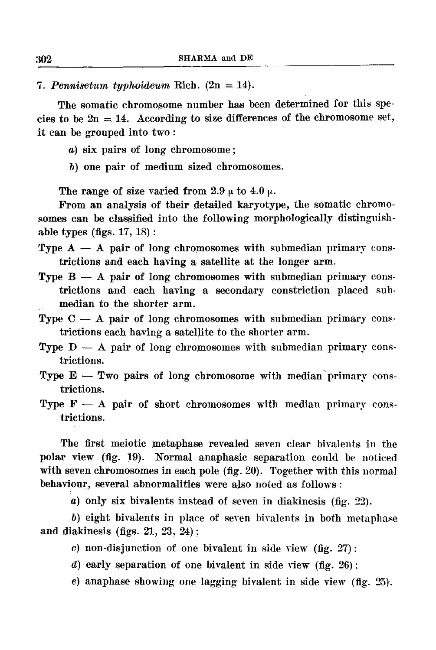7. *Penni8etum typhoideum* Rich. (2n = 14).

The somatic chromosome number has been determined for this species to be  $2n = 14$ . According to size differences of the chromosome set, it can be grouped into two :

- a) six pairs of long chromosome;
- b) one pair of medium sized chromosomes.

The range of size varied from 2.9  $\mu$  to 4.0  $\mu$ .

From an analysis of their detailed karyotype, the somatic chromosomes can be classified into the following morphologically distinguishable types (figs. 17, 18):

- Type  $A A$  pair of long chromosomes with submedian primary constrictions and each having a satellite at the longer arm.
- Type  $B A$  pair of long chromosomes with submedian primary constrictions and each having a secondary constriction placed submedian to the shorter arm.

Type  $C - A$  pair of long chromosomes with submedian primary constrictions each having a satellite to the shorter arm.

- Type  $D A$  pair of long chromosomes with submedian primary constrictions.
- Type  $E Tw$  pairs of long chromosome with median primary constrictions.
- Type  $F A$  pair of short chromosomes with median primary constrictions.

The first meiotic metaphase revealed seven clear bivalents in the polar view (fig. 19). Normal anaphasic separation could be noticed with seven chromosomes in each pole (fig. 20). Together with this normal behaviour, several abnormalities were also noted as follows:

a) only six bivalents instead of seven in diakinesis (fig. 22).

b) eight bivalents in place of seven bivalents in both metaphase and diakinesis (figs. 21, 23, 24):

- c) non-disjunction of one bivalent in side view (fig. 27):
- $d)$  early separation of one bivalent in side view (fig. 26);
- e) anaphase showing one lagging bivalent in side view (fig. 25).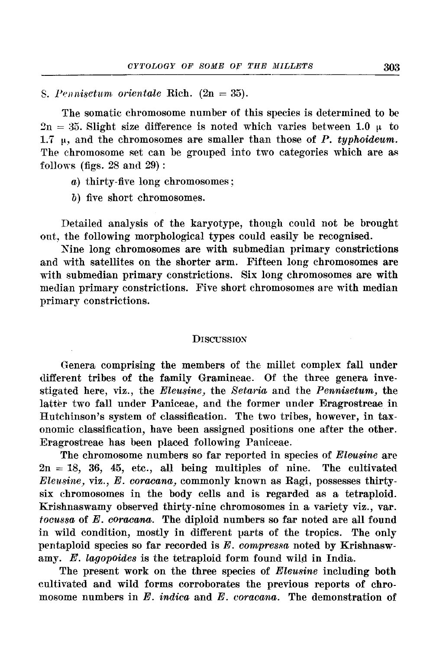#### 8. *Penniseturn orientale* Rich. (2n = 35).

The somatic chromosome number of this species is determined to be  $2n = 35$ . Slight size difference is noted which varies between 1.0  $\mu$  to 1.7  $\mu$ , and the chromosomes are smaller than those of *P. typhoideum.* The chromosome set can be grouped into two categories which are as follows (figs. 28 and 29) :

- a) thirty-five long chromosomes:
- b) five short chromosomes.

Detailed analysis of the karyotype, though could not be brought out, the following morphological types could easily be recognised.

Nine long chromosomes are with submedian primary constrictions and with satellites on the shorter arm. Fifteen long chromosomes are with submedian primary constrictions. Six long chromosomes are with median primary constrictions. Five short chromosomes are with median primary constrictions.

#### DISCUSSION

Genera comprising the members of the millet complex fall under different tribes of the family Gramineae. Of the three genera investigated here, viz., the *Eleusine*, the *Setaria* and the *Pennisetum*, the latter two fall under Paniceae, and the former under Eragrostreae in Hutchinson's system of classification. The two tribes, however, in taxonomic classification, have been assigned positions one after the other. Eragrostreae has been placed following Paniceae.

The chromosome numbers so far reported in species of *Eleusine* are  $2n = 18$ , 36, 45, etc., all being multiples of nine. The cultivated Eleusine, viz., *E. coracana*, commonly known as Ragi, possesses thirtysix chromosomes in the body cells and is regarded as a tetraploid. Krishnaswamy observed thirty-nine chromosomes in a variety viz., var. *tomtssa* of *E. coracana.* The diploid numbers so far noted are all found in wild condition, mostly in different varts of the tropics. The only pentaploid species so far recorded is *E. corn,pres8a* noted by Krishnaswamy. *E. lagopoides* is the tetraploid form found wild in India.

The present work on the three species of *Eleusine* including both cultivated and wild forms corroborates the previous reports of chromosome numbers in *E. indica* and *E. coracana.* The demonstration of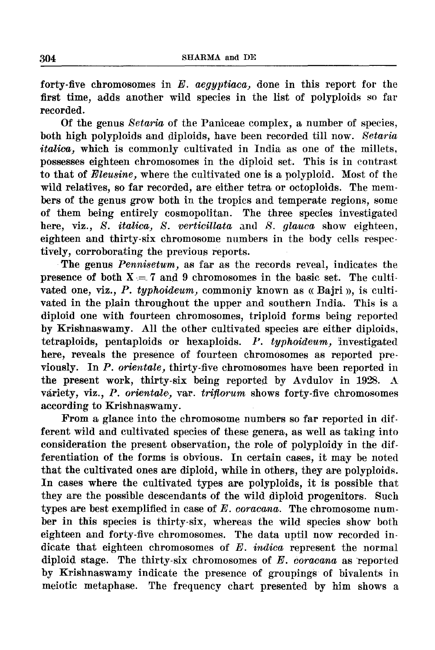forty-five chromosomes in *E. aegyptiaca}* done in this report for the first time, adds another wild species in the list of polyploids so far recorded.

Of the genus *Setaria* of the Paniceae complex, a number of species, both high polyploids and diploids, have been recorded till now. *Setaria italioa}* which is commonly cultivated in India as one of the millets, possesses eighteen chromosomes in the diploid set. This is in contrast to that of *Eleusine}* where the cultivated one is a polyploid. Most of the wild relatives, so far recorded, are either tetra or octoploids. The memhers of the genus grow both in the tropics and temperate regions, some of them being entirely cosmopolitan. The three species investigated here, viz., *S. italica*, *S. verticillata* and *S. glauca* show eighteen, eighteen and thirty-six chromosome numbers in the body cells respectively, corroborating the previous reports.

The genus *Pennisetum*, as far as the records reveal, indicates the presence of both  $X = 7$  and 9 chromosomes in the basic set. The cultivated one, viz., *P. typhoideum*, commonly known as « Bajri », is cultivated in the plain throughout the upper and southern India. This is a diploid one with fourteen chromosomes, triploid forms being reported by Krishnaswamy. All the other cultivated species are either diploids, tetraploids, pentaploids or hexaploids. 1'. *typhoideum}* investigated here, reveals the presence of fourteen chromosomes as reported previously. In *P. orientale}* thirty-five chromosomes have been reported in the present work, thirty-six being reported by Avdulov in 1928. A variety, viz., *P. orientale*, var. *triftorum* shows forty-five chromosomes according to Krishnaswamy.

From a glance into the chromosome numbers so far reported in different wild and cultivated species of these genera, as well as taking into consideration the present observation, the role of polyploidy in the differentiation of the forms is obvious. In certain cases, it may be noted that the cultivated ones are diploid, while in others, they are polyploids. In cases where the cultivated types are polyploids, it is possible that they are the possible descendants of the wild diploid progenitors. Such types are best exemplified in case of *E. coracana*. The chromosome number in this species is thirty-six, whereas the wild species show both eighteen and forty-five chromosomes. The data uptil now recorded indicate that eighteen chromosomes of *E. indica* represent the normal diploid stage. The thirty-six chromosomes of *E. coracana* as reported by Krishnaswamy indicate the presence of groupings of bivalents in meiotic metaphase. The frequency chart presented by him shows a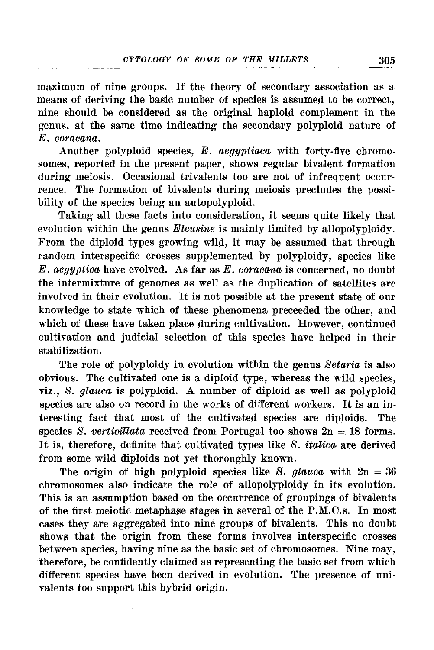maximum of nine groups. If the theory of secondary association as a means of deriving the basic number of species is assumed to be correct, nine should be considered as the original haploid complement in the genus, at the same time indicating the secondary polyploid nature of *E. cot·aoana.* 

Another polyploid species, *E. aegyptiaca* with forty-five chromosomes, reported in the present paper, shows regular bivalent formation during meiosis. Occasional trivalents too are not of infrequent occurrence. The formation of bivalents during meiosis precludes the possibility of the species being an autopolyploid.

Taking all these facts into consideration, it seems quite likely that evolution within the genus *Eleusine* is mainly limited by allopolyploidy. From the diploid types growing wild, it may be assumed that through random interspecific crosses supplemented by polyploidy, species like *E. aegyptica* have evolved. As far as *E. coracana* is concerned, no doubt the intermixture of genomes as well as the duplication of satellites are involved in their evolution. It is not possible at the present state of our knowledge to state which of these phenomena preceeded the other, and which of these have taken place during cultivation. However, continued cultivation and judicial selection of this species have helped in their stabilization.

The role of polyploidy in evolution within the genus *Setaria* is also obvious. The cultivated one is a diploid type, whereas the wild species, viz., *S. glauoa* is polyploid. A number of diploid as well as polyploid species are also on record in the works of different workers. It is an interesting fact that most of the cultivated species are diploids. The species *S. verticillata* received from Portugal too shows  $2n = 18$  forms. It is, therefore, definite that cultivated types like *S. italica* are derived from some wild diploids not yet thoroughly known.

The origin of high polyploid species like *S. glauca* with  $2n = 36$ chromosomes also indicate the role of allopolyploidy in its evolution. This is an assumption based on the occurrence of groupings of bivalents of the first meiotic metaphase stages in several of the P.M.C.s. In most cases they are aggregated into nine groups of bivalents. This no doubt shows that the origin from these forms involves interspecific crosses between species, having nine as the basic set of chromosomes. Nine may, -'therefore, be confidently claimed as representing the basic set from which different species have been derived in evolution. The presence of univalents too support this hybrid origin.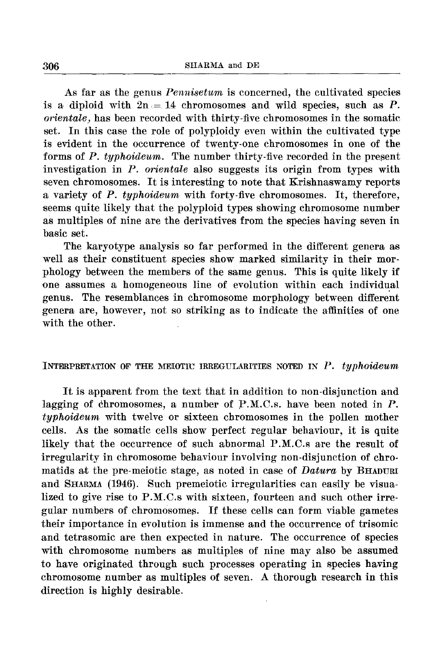As far as the genus *Pennisetum* is concerned, the cultivated species is a diploid with  $2n = 14$  chromosomes and wild species, such as P. orientale, has been recorded with thirty-five chromosomes in the somatic set. In this case the role of polyploidy even within the cultivated type is evident in the occurrence of twenty-one chromosomes in one of the forms of *P. typhoideum.* The number thirty-five recorded in the present investigation in *P. orientale* also suggests its origin from types with seven chromosomes. It is interesting to note that Krishnaswamy reports a variety of *P. typhoideum* with forty-five chromosomes. It, therefore, seems quite likely that the polyploid types showing chromosome number as multiples of nine are the derivatives from the species having seven in basic set.

The karyotype analysis so far performed in the different genera as well as their constituent species show marked similarity in their morphology between the members of the same genus. This is quite likely if one assumes a homogeneous line of evolution within each individual genus. The resemblances in chromosome morphology between different genera are, however, not so striking as to indicate the affinities of one with the other.

## lNTEJRPRETATION OF THE MEIOTIC IRREGULARITIES NOTED IN *P. typhoideum*

It is apparent from the text that in addition to non-disjunction and lagging of chromosomes, a number of  $P.M.C.s.$  have been noted in  $P$ . *typhoideum* with twelve or sixteen chromosomes in the pollen mother cells. As the somatic cells show perfect regular behaviour, it is quite likely that the occurrence of such abnormal P.M.C.s are the result of irregularity in chromosome behaviour involving non-disjunction of chromatids at the pre-meiotic stage, as noted in case of *Datura* by BHADURI and SHARMA (1946). Such premeiotic irregularities can easily be visualized to give rise to P.M.O.s with sixteen, fourteen and such other irregular numbers of chromosomes. If these cells can form viable gametes their importance in evolution is immense and the occurrence of trisomic and tetrasomic are then expected in nature. The occurrence of species with chromosome numbers as multiples of nine may also be assumed to have originated through such processes operating in species having chromosome number as multiples of seven. A thorough research in this direction is highly desirable.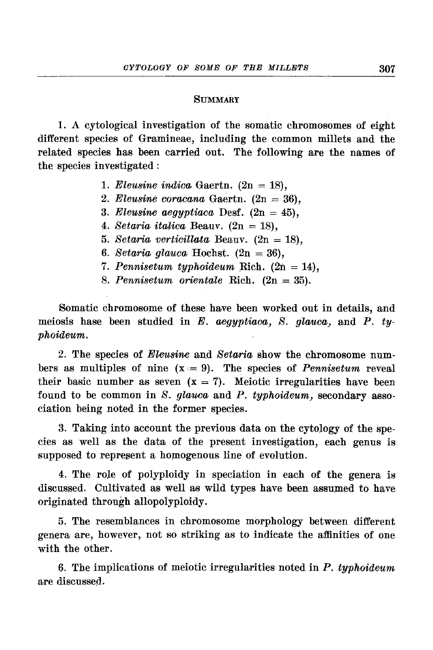#### **SUMMARY**

1. A cytological investigation of the somatic chromosomes of eight different species of Gramineae, including the common millets and the related species has been carried out. The following are the names of the species investigated :

- 1. *Eleusine indica* Gaertn.  $(2n = 18)$ ,
- 2. *Eleusine coracana* Gaertn. (2n = 36),
- 3. *Eleusine aegyptiaca* Desf.  $(2n = 45)$ ,
- 4. *Setaria italica* Beauv. (2n = 18),
- 5. *Setaria verticillata* Beauv. (2n = 18),
- 6. *Setaria glauca* Hochst. (2n = 36),
- 7. Pennisetum typhoideum Rich.  $(2n = 14)$ ,
- 8. *Pennisetum orientale* Rich. (2n = 35).

Somatic chromosome of these have been worked out in details, and meiosis hase been studied in *E. aegyptiaca} S. glauca}* and *P. typhoideum.* 

2. The species of *Eleusine* and *Setaria* show the chromosome numbers as multiples of nine  $(x = 9)$ . The species of *Pennisetum* reveal their basic number as seven  $(x = 7)$ . Meiotic irregularities have been found to be common in *S. glauca* and *P. typhoideum*, secondary association being noted in the former species.

3. Taking into account the previous data on the cytology of the species as well as the data of the present investigation, each genus is supposed to represent a homogenous line of evolution.

4. The role of polyploidy in speciation in each of the genera is discussed. Cultivated as well as wild types have been assumed to have originated through allopolyploidy.

5. The resemblances in chromosome morphology between different genera are, however, not so striking as to indicate the affinities of one with the other.

6. The implications of meiotic irregularities noted in *P. typhoideum*  are discussed.